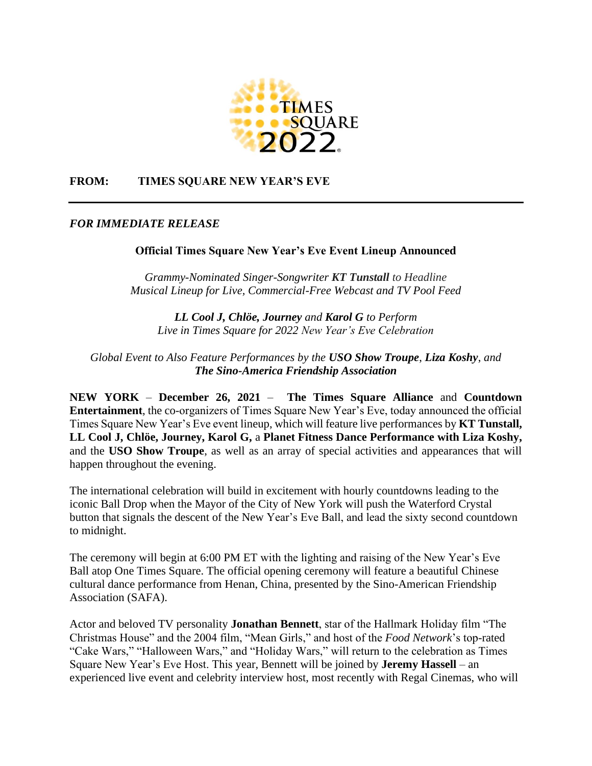

## **FROM: TIMES SQUARE NEW YEAR'S EVE**

## *FOR IMMEDIATE RELEASE*

## **Official Times Square New Year's Eve Event Lineup Announced**

*Grammy-Nominated Singer-Songwriter KT Tunstall to Headline Musical Lineup for Live, Commercial-Free Webcast and TV Pool Feed*

*LL Cool J, Chlöe, Journey and Karol G to Perform Live in Times Square for 2022 New Year's Eve Celebration*

*Global Event to Also Feature Performances by the USO Show Troupe*, *Liza Koshy*, *and The Sino-America Friendship Association*

**NEW YORK** – **December 26, 2021** – **The [Times Square Alliance](http://www.timessquarenyc.org/)** and **Countdown Entertainment**, the co-organizers of Times Square New Year's Eve, today announced the official Times Square New Year's Eve event lineup, which will feature live performances by **KT Tunstall, LL Cool J, Chlöe, Journey, Karol G,** a **Planet Fitness Dance Performance with Liza Koshy,** and the **USO Show Troupe**, as well as an array of special activities and appearances that will happen throughout the evening.

The international celebration will build in excitement with hourly countdowns leading to the iconic Ball Drop when the Mayor of the City of New York will push the Waterford Crystal button that signals the descent of the New Year's Eve Ball, and lead the sixty second countdown to midnight.

The ceremony will begin at 6:00 PM ET with the lighting and raising of the New Year's Eve Ball atop One Times Square. The official opening ceremony will feature a beautiful Chinese cultural dance performance from Henan, China, presented by the Sino-American Friendship Association (SAFA).

Actor and beloved TV personality **Jonathan Bennett**, star of the Hallmark Holiday film "The Christmas House" and the 2004 film, "Mean Girls," and host of the *Food Network*'s top-rated "Cake Wars," "Halloween Wars," and "Holiday Wars," will return to the celebration as Times Square New Year's Eve Host. This year, Bennett will be joined by **Jeremy Hassell** – an experienced live event and celebrity interview host, most recently with Regal Cinemas, who will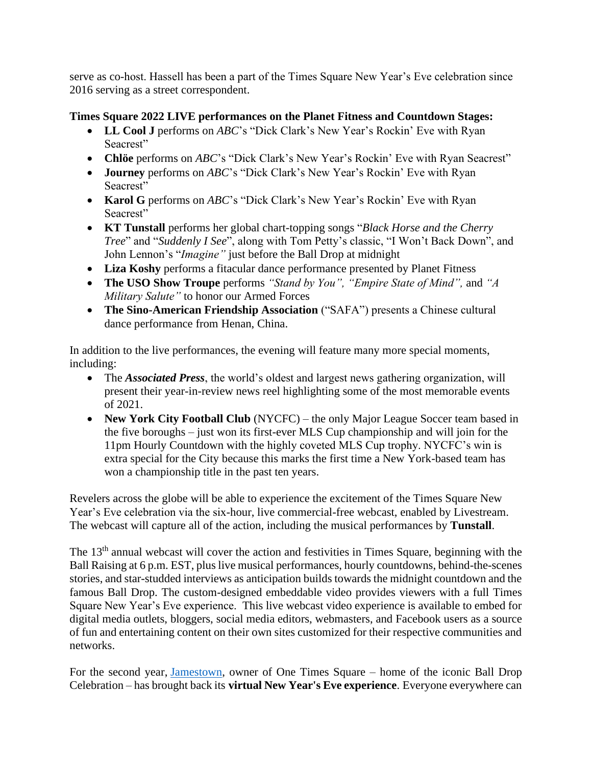serve as co-host. Hassell has been a part of the Times Square New Year's Eve celebration since 2016 serving as a street correspondent.

# **Times Square 2022 LIVE performances on the Planet Fitness and Countdown Stages:**

- **LL Cool J** performs on *ABC*'s "Dick Clark's New Year's Rockin' Eve with Ryan Seacrest"
- **Chlöe** performs on *ABC*'s "Dick Clark's New Year's Rockin' Eve with Ryan Seacrest"
- **Journey** performs on *ABC*'s "Dick Clark's New Year's Rockin' Eve with Ryan Seacrest"
- **Karol G** performs on *ABC*'s "Dick Clark's New Year's Rockin' Eve with Ryan Seacrest"
- **KT Tunstall** performs her global chart-topping songs "*Black Horse and the Cherry Tree*" and "*Suddenly I See*", along with Tom Petty's classic, "I Won't Back Down", and John Lennon's "*Imagine"* just before the Ball Drop at midnight
- **Liza Koshy** performs a fitacular dance performance presented by Planet Fitness
- **The USO Show Troupe** performs *"Stand by You", "Empire State of Mind",* and *"A Military Salute"* to honor our Armed Forces
- **The Sino-American Friendship Association** ("SAFA") presents a Chinese cultural dance performance from Henan, China.

In addition to the live performances, the evening will feature many more special moments, including:

- The *Associated Press*, the world's oldest and largest news gathering organization, will present their year-in-review news reel highlighting some of the most memorable events of 2021.
- **New York City Football Club** (NYCFC) the only Major League Soccer team based in the five boroughs – just won its first-ever MLS Cup championship and will join for the 11pm Hourly Countdown with the highly coveted MLS Cup trophy. NYCFC's win is extra special for the City because this marks the first time a New York-based team has won a championship title in the past ten years.

Revelers across the globe will be able to experience the excitement of the Times Square New Year's Eve celebration via the six-hour, live commercial-free webcast, enabled by Livestream. The webcast will capture all of the action, including the musical performances by **Tunstall**.

The 13<sup>th</sup> annual webcast will cover the action and festivities in Times Square, beginning with the Ball Raising at 6 p.m. EST, plus live musical performances, hourly countdowns, behind-the-scenes stories, and star-studded interviews as anticipation builds towards the midnight countdown and the famous Ball Drop. The custom-designed embeddable video provides viewers with a full Times Square New Year's Eve experience. This live webcast video experience is available to embed for digital media outlets, bloggers, social media editors, webmasters, and Facebook users as a source of fun and entertaining content on their own sites customized for their respective communities and networks.

For the second year, [Jamestown,](https://protect-eu.mimecast.com/s/DLXDCKZ8tP18wohGkVpR?domain=jamestownlp.com) owner of One Times Square – home of the iconic Ball Drop Celebration – has brought back its **virtual New Year's Eve experience**. Everyone everywhere can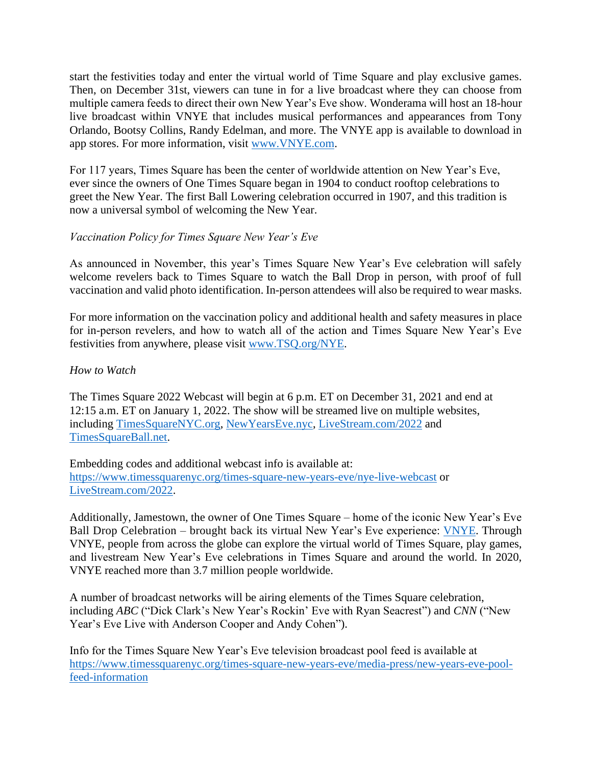start the festivities today and enter the virtual world of Time Square and play exclusive games. Then, on December 31st, viewers can tune in for a live broadcast where they can choose from multiple camera feeds to direct their own New Year's Eve show. Wonderama will host an 18-hour live broadcast within VNYE that includes musical performances and appearances from Tony Orlando, Bootsy Collins, Randy Edelman, and more. The VNYE app is available to download in app stores. For more information, visit [www.VNYE.com.](https://protect-eu.mimecast.com/s/h_RCCL8ZSV3NOWtrgNH_?domain=nye2021.com)

For 117 years, Times Square has been the center of worldwide attention on New Year's Eve, ever since the owners of One Times Square began in 1904 to conduct rooftop celebrations to greet the New Year. The first Ball Lowering celebration occurred in 1907, and this tradition is now a universal symbol of welcoming the New Year.

## *Vaccination Policy for Times Square New Year's Eve*

As announced in November, this year's Times Square New Year's Eve celebration will safely welcome revelers back to Times Square to watch the Ball Drop in person, with proof of full vaccination and valid photo identification. In-person attendees will also be required to wear masks.

For more information on the vaccination policy and additional health and safety measures in place for in-person revelers, and how to watch all of the action and Times Square New Year's Eve festivities from anywhere, please visit [www.TSQ.org/NYE.](http://www.tsq.org/NYE)

#### *How to Watch*

The Times Square 2022 Webcast will begin at 6 p.m. ET on December 31, 2021 and end at 12:15 a.m. ET on January 1, 2022. The show will be streamed live on multiple websites, including [TimesSquareNYC.org,](http://timessquarenyc.org/) [NewYearsEve.nyc,](http://newyearseve.nyc/) [LiveStream.com/2022](https://livestream.com/newyearseve/events/9872713) and [TimesSquareBall.net.](https://timessquareball.net/)

Embedding codes and additional webcast info is available at: <https://www.timessquarenyc.org/times-square-new-years-eve/nye-live-webcast> or [LiveStream.com/2022.](https://livestream.com/newyearseve/events/9872713)

Additionally, Jamestown, the owner of One Times Square – home of the iconic New Year's Eve Ball Drop Celebration – brought back its virtual New Year's Eve experience: [VNYE.](https://vnye.com/) Through VNYE, people from across the globe can explore the virtual world of Times Square, play games, and livestream New Year's Eve celebrations in Times Square and around the world. In 2020, VNYE reached more than 3.7 million people worldwide.

A number of broadcast networks will be airing elements of the Times Square celebration, including *ABC* ("Dick Clark's New Year's Rockin' Eve with Ryan Seacrest") and *CNN* ("New Year's Eve Live with Anderson Cooper and Andy Cohen").

Info for the Times Square New Year's Eve television broadcast pool feed is available at [https://www.timessquarenyc.org/times-square-new-years-eve/media-press/new-years-eve-pool](https://www.timessquarenyc.org/times-square-new-years-eve/media-press/new-years-eve-pool-feed-information)[feed-information](https://www.timessquarenyc.org/times-square-new-years-eve/media-press/new-years-eve-pool-feed-information)